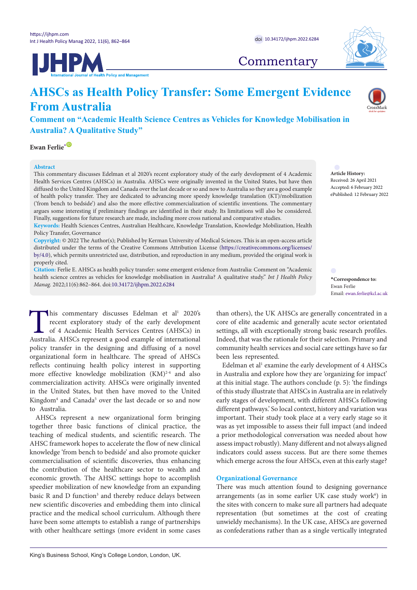



## **Commentary**

# **AHSCs as Health Policy Transfer: Some Emergent Evidence From Australia**

**Comment on "Academic Health Science Centres as Vehicles for Knowledge Mobilisation in Australia? A Qualitative Study"**

**Ewan Ferlie<sup>[\\*](#page-0-0)</sub>**  $\bullet$ </sup>

#### **Abstract**

This commentary discusses Edelman et al 2020's recent exploratory study of the early development of 4 Academic Health Services Centres (AHSCs) in Australia. AHSCs were originally invented in the United States, but have then diffused to the United Kingdom and Canada over the last decade or so and now to Australia so they are a good example of health policy transfer. They are dedicated to advancing more speedy knowledge translation (KT)/mobilization ('from bench to bedside') and also the more effective commercialization of scientific inventions. The commentary argues some interesting if preliminary findings are identified in their study. Its limitations will also be considered. Finally, suggestions for future research are made, including more cross national and comparative studies.

**Keywords:** Health Sciences Centres, Australian Healthcare, Knowledge Translation, Knowledge Mobilization, Health Policy Transfer, Governance

**Copyright:** © 2022 The Author(s); Published by Kerman University of Medical Sciences. This is an open-access article distributed under the terms of the Creative Commons Attribution License [\(https://creativecommons.org/licenses/](https://creativecommons.org/licenses/by/4.0/) [by/4.0](https://creativecommons.org/licenses/by/4.0/)), which permits unrestricted use, distribution, and reproduction in any medium, provided the original work is properly cited.

**Citation:** Ferlie E. AHSCs as health policy transfer: some emergent evidence from Australia: Comment on "Academic health science centres as vehicles for knowledge mobilisation in Australia? A qualitative study." *Int J Health Policy*  health science centres as vehicles for knowledge mobilisation in Australia? A qualitative study. Int J Health Policy<br>*Manag.* 2022;11(6):862–864. doi[:10.34172/ijhpm.2022.6284](https://doi.org/10.34172/ijhpm.2022.6284)

This commentary discusses Edelman et al<sup>1</sup> 2020's<br>recent exploratory study of the early development<br>of 4 Academic Health Services Centres (AHSCs) in<br>Australia. AHSCs represent a good example of international recent exploratory study of the early development of 4 Academic Health Services Centres (AHSCs) in Australia. AHSCs represent a good example of international policy transfer in the designing and diffusing of a novel organizational form in healthcare. The spread of AHSCs reflects continuing health policy interest in supporting more effective knowledge mobilization (KM)<sup>2-4</sup> and also commercialization activity. AHSCs were originally invented in the United States, but then have moved to the United Kingdom<sup>4</sup> and Canada<sup>5</sup> over the last decade or so and now to Australia.

AHSCs represent a new organizational form bringing together three basic functions of clinical practice, the teaching of medical students, and scientific research. The AHSC framework hopes to accelerate the flow of new clinical knowledge 'from bench to bedside' and also promote quicker commercialisation of scientific discoveries, thus enhancing the contribution of the healthcare sector to wealth and economic growth. The AHSC settings hope to accomplish speedier mobilization of new knowledge from an expanding basic R and D function<sup>3</sup> and thereby reduce delays between new scientific discoveries and embedding them into clinical practice and the medical school curriculum. Although there have been some attempts to establish a range of partnerships with other healthcare settings (more evident in some cases

than others), the UK AHSCs are generally concentrated in a core of elite academic and generally acute sector orientated settings, all with exceptionally strong basic research profiles. Indeed, that was the rationale for their selection. Primary and community health services and social care settings have so far been less represented.

<span id="page-0-0"></span>Ewan Ferlie

**Article History:** Received: 26 April 2021 Accepted: 6 February 2022 ePublished: 12 February 2022

Email: ewan.ferlie@kcl.ac.uk

Edelman et al<sup>1</sup> examine the early development of 4 AHSCs in Australia and explore how they are 'organizing for impact' at this initial stage. The authors conclude (p. 5): 'the findings of this study illustrate that AHSCs in Australia are in relatively early stages of development, with different AHSCs following different pathways.' So local context, history and variation was important. Their study took place at a very early stage so it was as yet impossible to assess their full impact (and indeed a prior methodological conversation was needed about how assess impact robustly). Many different and not always aligned indicators could assess success. But are there some themes which emerge across the four AHSCs, even at this early stage?

## **Organizational Governance**

There was much attention found to designing governance arrangements (as in some earlier UK case study work<sup>6</sup>) in the sites with concern to make sure all partners had adequate representation (but sometimes at the cost of creating unwieldy mechanisms). In the UK case, AHSCs are governed as confederations rather than as a single vertically integrated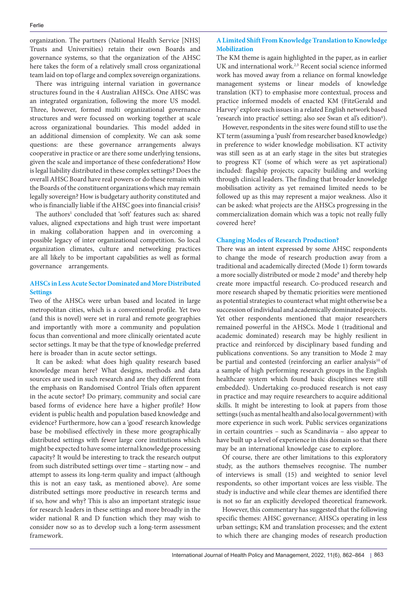organization. The partners (National Health Service [NHS] Trusts and Universities) retain their own Boards and governance systems, so that the organization of the AHSC here takes the form of a relatively small cross organizational team laid on top of large and complex sovereign organizations.

There was intriguing internal variation in governance structures found in the 4 Australian AHSCs. One AHSC was an integrated organization, following the more US model. Three, however, formed multi organizational governance structures and were focussed on working together at scale across organizational boundaries. This model added in an additional dimension of complexity. We can ask some questions: are these governance arrangements always cooperative in practice or are there some underlying tensions, given the scale and importance of these confederations? How is legal liability distributed in these complex settings? Does the overall AHSC Board have real powers or do these remain with the Boards of the constituent organizations which may remain legally sovereign? How is budgetary authority constituted and who is financially liable if the AHSC goes into financial crisis?

The authors<sup>1</sup> concluded that 'soft' features such as: shared values, aligned expectations and high trust were important in making collaboration happen and in overcoming a possible legacy of inter organizational competition. So local organization climates, culture and networking practices are all likely to be important capabilities as well as formal governance arrangements.

## **AHSCs in Less Acute Sector Dominated and More Distributed Settings**

Two of the AHSCs were urban based and located in large metropolitan cities, which is a conventional profile. Yet two (and this is novel) were set in rural and remote geographies and importantly with more a community and population focus than conventional and more clinically orientated acute sector settings. It may be that the type of knowledge preferred here is broader than in acute sector settings.

It can be asked: what does high quality research based knowledge mean here? What designs, methods and data sources are used in such research and are they different from the emphasis on Randomised Control Trials often apparent in the acute sector? Do primary, community and social care based forms of evidence here have a higher profile? How evident is public health and population based knowledge and evidence? Furthermore, how can a 'good' research knowledge base be mobilised effectively in these more geographically distributed settings with fewer large core institutions which might be expected to have some internal knowledge processing capacity? It would be interesting to track the research output from such distributed settings over time – starting now – and attempt to assess its long-term quality and impact (although this is not an easy task, as mentioned above). Are some distributed settings more productive in research terms and if so, how and why? This is also an important strategic issue for research leaders in these settings and more broadly in the wider national R and D function which they may wish to consider now so as to develop such a long-term assessment framework.

## **A Limited Shift From Knowledge Translation to Knowledge Mobilization**

The KM theme is again highlighted in the paper, as in earlier UK and international work.<sup>2,3</sup> Recent social science informed work has moved away from a reliance on formal knowledge management systems or linear models of knowledge translation (KT) to emphasise more contextual, process and practice informed models of enacted KM (FitzGerald and Harvey<sup>7</sup> explore such issues in a related English network based 'research into practice' setting; also see Swan et al's edition<sup>8</sup>).

However, respondents in the sites were found still to use the KT term (assuming a 'push' from researcher based knowledge) in preference to wider knowledge mobilisation. KT activity was still seen as at an early stage in the sites but strategies to progress KT (some of which were as yet aspirational) included: flagship projects; capacity building and working through clinical leaders. The finding that broader knowledge mobilisation activity as yet remained limited needs to be followed up as this may represent a major weakness. Also it can be asked: what projects are the AHSCs progressing in the commercialization domain which was a topic not really fully covered here?

## **Changing Modes of Research Production?**

There was an intent expressed by some AHSC respondents to change the mode of research production away from a traditional and academically directed (Mode 1) form towards a more socially distributed or mode 2 mode<sup>9</sup> and thereby help create more impactful research. Co-produced research and more research shaped by thematic priorities were mentioned as potential strategies to counteract what might otherwise be a succession of individual and academically dominated projects. Yet other respondents mentioned that major researchers remained powerful in the AHSCs. Mode 1 (traditional and academic dominated) research may be highly resilient in practice and reinforced by disciplinary based funding and publications conventions. So any transition to Mode 2 may be partial and contested (reinforcing an earlier analysis<sup>10</sup> of a sample of high performing research groups in the English healthcare system which found basic disciplines were still embedded). Undertaking co-produced research is not easy in practice and may require researchers to acquire additional skills. It might be interesting to look at papers from those settings (such as mental health and also local government) with more experience in such work. Public services organizations in certain countries – such as Scandinavia – also appear to have built up a level of experience in this domain so that there may be an international knowledge case to explore.

Of course, there are other limitations to this exploratory study, as the authors themselves recognise. The number of interviews is small (15) and weighted to senior level respondents, so other important voices are less visible. The study is inductive and while clear themes are identified there is not so far an explicitly developed theoretical framework.

However, this commentary has suggested that the following specific themes: AHSC governance; AHSCs operating in less urban settings; KM and translation processes; and the extent to which there are changing modes of research production